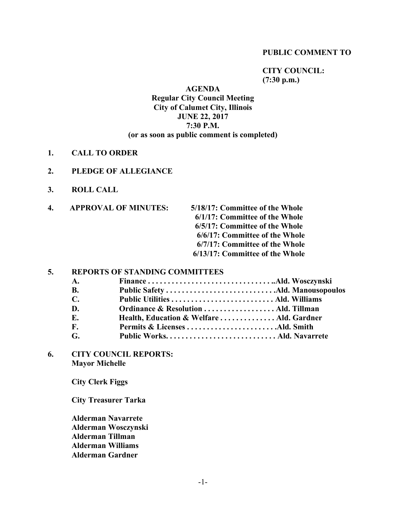#### **PUBLIC COMMENT TO**

**CITY COUNCIL: (7:30 p.m.)**

# **AGENDA Regular City Council Meeting City of Calumet City, Illinois JUNE 22, 2017 7:30 P.M. (or as soon as public comment is completed)**

- **1. CALL TO ORDER**
- **2. PLEDGE OF ALLEGIANCE**
- **3. ROLL CALL**
- **4. APPROVAL OF MINUTES: 5/18/17: Committee of the Whole 6/1/17: Committee of the Whole 6/5/17: Committee of the Whole 6/6/17: Committee of the Whole 6/7/17: Committee of the Whole 6/13/17: Committee of the Whole**

#### **5. REPORTS OF STANDING COMMITTEES**

| Ordinance & Resolution  Ald. Tillman      |  |
|-------------------------------------------|--|
| Health, Education & Welfare  Ald. Gardner |  |
|                                           |  |
|                                           |  |
|                                           |  |

**6. CITY COUNCIL REPORTS: Mayor Michelle**

**City Clerk Figgs**

**City Treasurer Tarka**

**Alderman Navarrete Alderman Wosczynski Alderman Tillman Alderman Williams Alderman Gardner**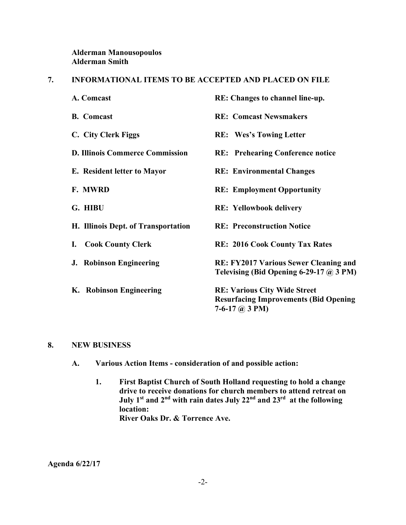# **Alderman Manousopoulos Alderman Smith**

## **7. INFORMATIONAL ITEMS TO BE ACCEPTED AND PLACED ON FILE**

| A. Comcast                             | RE: Changes to channel line-up.                                                                           |
|----------------------------------------|-----------------------------------------------------------------------------------------------------------|
| <b>B.</b> Comcast                      | <b>RE:</b> Comcast Newsmakers                                                                             |
| C. City Clerk Figgs                    | <b>RE:</b> Wes's Towing Letter                                                                            |
| <b>D. Illinois Commerce Commission</b> | <b>RE:</b> Prehearing Conference notice                                                                   |
| E. Resident letter to Mayor            | <b>RE: Environmental Changes</b>                                                                          |
| F. MWRD                                | <b>RE: Employment Opportunity</b>                                                                         |
| G. HIBU                                | <b>RE:</b> Yellowbook delivery                                                                            |
| H. Illinois Dept. of Transportation    | <b>RE: Preconstruction Notice</b>                                                                         |
| <b>Cook County Clerk</b><br>I.         | <b>RE: 2016 Cook County Tax Rates</b>                                                                     |
| <b>J. Robinson Engineering</b>         | <b>RE: FY2017 Various Sewer Cleaning and</b><br>Televising (Bid Opening 6-29-17 $\omega$ 3 PM)            |
| K. Robinson Engineering                | <b>RE: Various City Wide Street</b><br><b>Resurfacing Improvements (Bid Opening</b><br>7-6-17 $(a)$ 3 PM) |

#### **8. NEW BUSINESS**

- **A. Various Action Items - consideration of and possible action:**
	- **1. First Baptist Church of South Holland requesting to hold a change drive to receive donations for church members to attend retreat on July 1st and 2nd with rain dates July 22nd and 23rd at the following location: River Oaks Dr. & Torrence Ave.**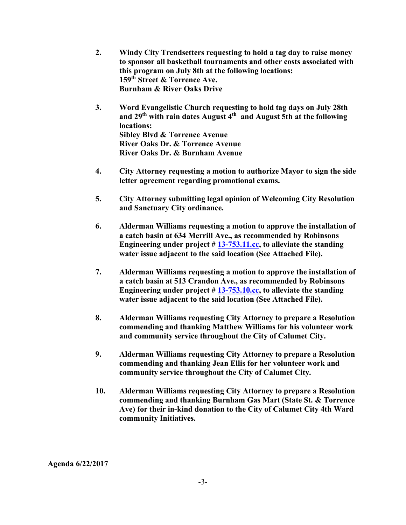- **2. Windy City Trendsetters requesting to hold a tag day to raise money to sponsor all basketball tournaments and other costs associated with this program on July 8th at the following locations: 159th Street & Torrence Ave. Burnham & River Oaks Drive**
- **3. Word Evangelistic Church requesting to hold tag days on July 28th and 29th with rain dates August 4th and August 5th at the following locations: Sibley Blvd & Torrence Avenue River Oaks Dr. & Torrence Avenue River Oaks Dr. & Burnham Avenue**
- **4. City Attorney requesting a motion to authorize Mayor to sign the side letter agreement regarding promotional exams.**
- **5. City Attorney submitting legal opinion of Welcoming City Resolution and Sanctuary City ordinance.**
- **6. Alderman Williams requesting a motion to approve the installation of a catch basin at 634 Merrill Ave., as recommended by Robinsons Engineering under project # [13-753.11.cc,](http://13-753.11.cc/) to alleviate the standing water issue adjacent to the said location (See Attached File).**
- **7. Alderman Williams requesting a motion to approve the installation of a catch basin at 513 Crandon Ave., as recommended by Robinsons Engineering under project # [13-753.10.cc,](http://13-753.10.cc/) to alleviate the standing water issue adjacent to the said location (See Attached File).**
- **8. Alderman Williams requesting City Attorney to prepare a Resolution commending and thanking Matthew Williams for his volunteer work and community service throughout the City of Calumet City.**
- **9. Alderman Williams requesting City Attorney to prepare a Resolution commending and thanking Jean Ellis for her volunteer work and community service throughout the City of Calumet City.**
- **10. Alderman Williams requesting City Attorney to prepare a Resolution commending and thanking Burnham Gas Mart (State St. & Torrence Ave) for their in-kind donation to the City of Calumet City 4th Ward community Initiatives.**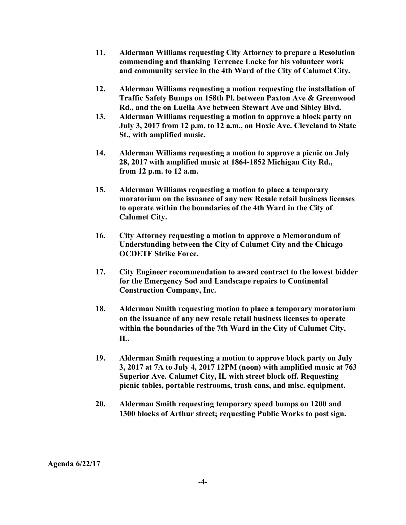- **11. Alderman Williams requesting City Attorney to prepare a Resolution commending and thanking Terrence Locke for his volunteer work and community service in the 4th Ward of the City of Calumet City.**
- **12. Alderman Williams requesting a motion requesting the installation of Traffic Safety Bumps on 158th Pl. between Paxton Ave & Greenwood Rd., and the on Luella Ave between Stewart Ave and Sibley Blvd.**
- **13. Alderman Williams requesting a motion to approve a block party on July 3, 2017 from 12 p.m. to 12 a.m., on Hoxie Ave. Cleveland to State St., with amplified music.**
- **14. Alderman Williams requesting a motion to approve a picnic on July 28, 2017 with amplified music at 1864-1852 Michigan City Rd., from 12 p.m. to 12 a.m.**
- **15. Alderman Williams requesting a motion to place a temporary moratorium on the issuance of any new Resale retail business licenses to operate within the boundaries of the 4th Ward in the City of Calumet City.**
- **16. City Attorney requesting a motion to approve a Memorandum of Understanding between the City of Calumet City and the Chicago OCDETF Strike Force.**
- **17. City Engineer recommendation to award contract to the lowest bidder for the Emergency Sod and Landscape repairs to Continental Construction Company, Inc.**
- **18. Alderman Smith requesting motion to place a temporary moratorium on the issuance of any new resale retail business licenses to operate within the boundaries of the 7th Ward in the City of Calumet City, IL.**
- **19. Alderman Smith requesting a motion to approve block party on July 3, 2017 at 7A to July 4, 2017 12PM (noon) with amplified music at 763 Superior Ave. Calumet City, IL with street block off. Requesting picnic tables, portable restrooms, trash cans, and misc. equipment.**
- **20. Alderman Smith requesting temporary speed bumps on 1200 and 1300 blocks of Arthur street; requesting Public Works to post sign.**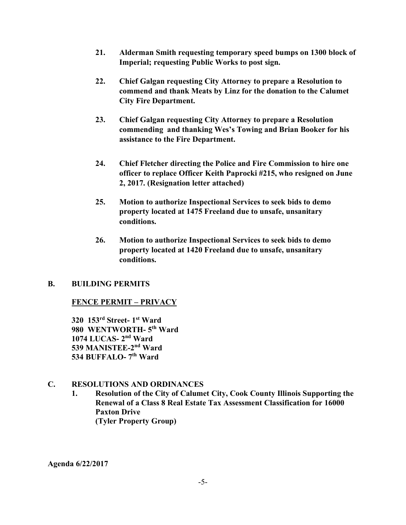- **21. Alderman Smith requesting temporary speed bumps on 1300 block of Imperial; requesting Public Works to post sign.**
- **22. Chief Galgan requesting City Attorney to prepare a Resolution to commend and thank Meats by Linz for the donation to the Calumet City Fire Department.**
- **23. Chief Galgan requesting City Attorney to prepare a Resolution commending and thanking Wes's Towing and Brian Booker for his assistance to the Fire Department.**
- **24. Chief Fletcher directing the Police and Fire Commission to hire one officer to replace Officer Keith Paprocki #215, who resigned on June 2, 2017. (Resignation letter attached)**
- **25. Motion to authorize Inspectional Services to seek bids to demo property located at 1475 Freeland due to unsafe, unsanitary conditions.**
- **26. Motion to authorize Inspectional Services to seek bids to demo property located at 1420 Freeland due to unsafe, unsanitary conditions.**

## **B. BUILDING PERMITS**

## **FENCE PERMIT – PRIVACY**

**320 153rd Street- 1st Ward 980 WENTWORTH- 5th Ward 1074 LUCAS- 2nd Ward 539 MANISTEE-2nd Ward 534 BUFFALO- 7th Ward**

## **C. RESOLUTIONS AND ORDINANCES**

**1. Resolution of the City of Calumet City, Cook County Illinois Supporting the Renewal of a Class 8 Real Estate Tax Assessment Classification for 16000 Paxton Drive (Tyler Property Group)**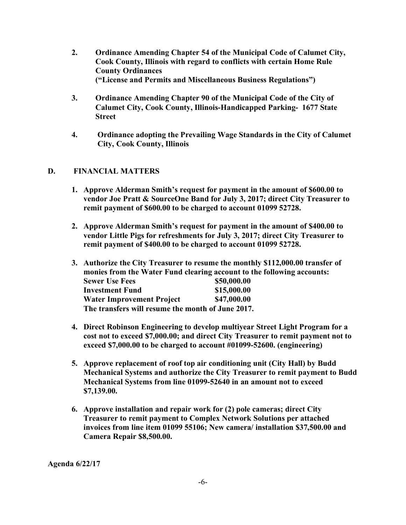- **2. Ordinance Amending Chapter 54 of the Municipal Code of Calumet City, Cook County, Illinois with regard to conflicts with certain Home Rule County Ordinances ("License and Permits and Miscellaneous Business Regulations")**
- **3. Ordinance Amending Chapter 90 of the Municipal Code of the City of Calumet City, Cook County, Illinois-Handicapped Parking- 1677 State Street**
- **4. Ordinance adopting the Prevailing Wage Standards in the City of Calumet City, Cook County, Illinois**

# **D. FINANCIAL MATTERS**

- **1. Approve Alderman Smith's request for payment in the amount of \$600.00 to vendor Joe Pratt & SourceOne Band for July 3, 2017; direct City Treasurer to remit payment of \$600.00 to be charged to account 01099 52728.**
- **2. Approve Alderman Smith's request for payment in the amount of \$400.00 to vendor Little Pigs for refreshments for July 3, 2017; direct City Treasurer to remit payment of \$400.00 to be charged to account 01099 52728.**
- **3. Authorize the City Treasurer to resume the monthly \$112,000.00 transfer of monies from the Water Fund clearing account to the following accounts: Sewer Use Fees \$50,000.00 Investment Fund \$15,000.00 Water Improvement Project \$47,000.00 The transfers will resume the month of June 2017.**
- **4. Direct Robinson Engineering to develop multiyear Street Light Program for a cost not to exceed \$7,000.00; and direct City Treasurer to remit payment not to exceed \$7,000.00 to be charged to account #01099-52600. (engineering)**
- **5. Approve replacement of roof top air conditioning unit (City Hall) by Budd Mechanical Systems and authorize the City Treasurer to remit payment to Budd Mechanical Systems from line 01099-52640 in an amount not to exceed \$7,139.00.**
- **6. Approve installation and repair work for (2) pole cameras; direct City Treasurer to remit payment to Complex Network Solutions per attached invoices from line item 01099 55106; New camera/ installation \$37,500.00 and Camera Repair \$8,500.00.**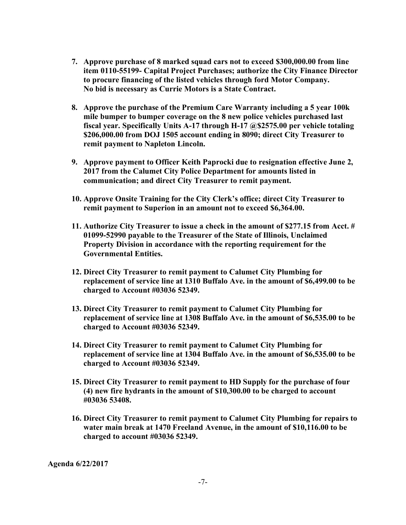- **7. Approve purchase of 8 marked squad cars not to exceed \$300,000.00 from line item 0110-55199- Capital Project Purchases; authorize the City Finance Director to procure financing of the listed vehicles through ford Motor Company. No bid is necessary as Currie Motors is a State Contract.**
- **8. Approve the purchase of the Premium Care Warranty including a 5 year 100k mile bumper to bumper coverage on the 8 new police vehicles purchased last fiscal year. Specifically Units A-17 through H-17 @\$2575.00 per vehicle totaling \$206,000.00 from DOJ 1505 account ending in 8090; direct City Treasurer to remit payment to Napleton Lincoln.**
- **9. Approve payment to Officer Keith Paprocki due to resignation effective June 2, 2017 from the Calumet City Police Department for amounts listed in communication; and direct City Treasurer to remit payment.**
- **10. Approve Onsite Training for the City Clerk's office; direct City Treasurer to remit payment to Superion in an amount not to exceed \$6,364.00.**
- **11. Authorize City Treasurer to issue a check in the amount of \$277.15 from Acct. # 01099-52990 payable to the Treasurer of the State of Illinois, Unclaimed Property Division in accordance with the reporting requirement for the Governmental Entities.**
- **12. Direct City Treasurer to remit payment to Calumet City Plumbing for replacement of service line at 1310 Buffalo Ave. in the amount of \$6,499.00 to be charged to Account #03036 52349.**
- **13. Direct City Treasurer to remit payment to Calumet City Plumbing for replacement of service line at 1308 Buffalo Ave. in the amount of \$6,535.00 to be charged to Account #03036 52349.**
- **14. Direct City Treasurer to remit payment to Calumet City Plumbing for replacement of service line at 1304 Buffalo Ave. in the amount of \$6,535.00 to be charged to Account #03036 52349.**
- **15. Direct City Treasurer to remit payment to HD Supply for the purchase of four (4) new fire hydrants in the amount of \$10,300.00 to be charged to account #03036 53408.**
- **16. Direct City Treasurer to remit payment to Calumet City Plumbing for repairs to water main break at 1470 Freeland Avenue, in the amount of \$10,116.00 to be charged to account #03036 52349.**